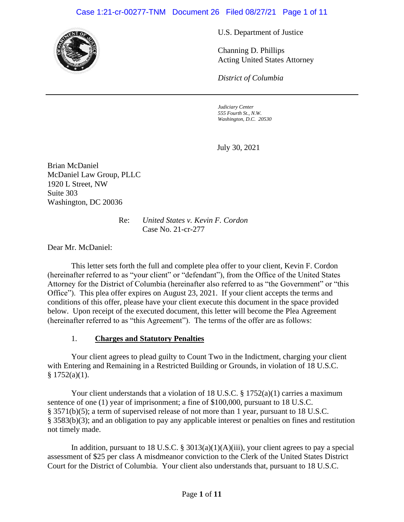### Case 1:21-cr-00277-TNM Document 26 Filed 08/27/21 Page 1 of 11



U.S. Department of Justice

Channing D. Phillips Acting United States Attorney

*District of Columbia*

*Judiciary Center 555 Fourth St., N.W. Washington, D.C. 20530*

July 30, 2021

Brian McDaniel McDaniel Law Group, PLLC 1920 L Street, NW Suite 303 Washington, DC 20036

> Re: *United States v. Kevin F. Cordon* Case No. 21-cr-277

Dear Mr. McDaniel:

This letter sets forth the full and complete plea offer to your client, Kevin F. Cordon (hereinafter referred to as "your client" or "defendant"), from the Office of the United States Attorney for the District of Columbia (hereinafter also referred to as "the Government" or "this Office"). This plea offer expires on August 23, 2021. If your client accepts the terms and conditions of this offer, please have your client execute this document in the space provided below. Upon receipt of the executed document, this letter will become the Plea Agreement (hereinafter referred to as "this Agreement"). The terms of the offer are as follows:

#### 1. **Charges and Statutory Penalties**

Your client agrees to plead guilty to Count Two in the Indictment, charging your client with Entering and Remaining in a Restricted Building or Grounds, in violation of 18 U.S.C.  $§ 1752(a)(1).$ 

Your client understands that a violation of 18 U.S.C. § 1752(a)(1) carries a maximum sentence of one (1) year of imprisonment; a fine of \$100,000, pursuant to 18 U.S.C. § 3571(b)(5); a term of supervised release of not more than 1 year, pursuant to 18 U.S.C. § 3583(b)(3); and an obligation to pay any applicable interest or penalties on fines and restitution not timely made.

In addition, pursuant to 18 U.S.C. § 3013(a)(1)(A)(iii), your client agrees to pay a special assessment of \$25 per class A misdmeanor conviction to the Clerk of the United States District Court for the District of Columbia. Your client also understands that, pursuant to 18 U.S.C.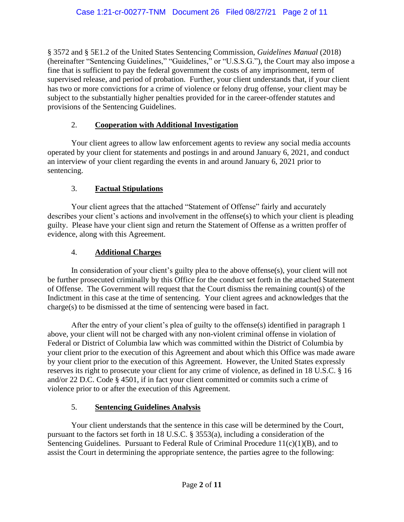§ 3572 and § 5E1.2 of the United States Sentencing Commission, *Guidelines Manual* (2018) (hereinafter "Sentencing Guidelines," "Guidelines," or "U.S.S.G."), the Court may also impose a fine that is sufficient to pay the federal government the costs of any imprisonment, term of supervised release, and period of probation. Further, your client understands that, if your client has two or more convictions for a crime of violence or felony drug offense, your client may be subject to the substantially higher penalties provided for in the career-offender statutes and provisions of the Sentencing Guidelines.

## 2. **Cooperation with Additional Investigation**

Your client agrees to allow law enforcement agents to review any social media accounts operated by your client for statements and postings in and around January 6, 2021, and conduct an interview of your client regarding the events in and around January 6, 2021 prior to sentencing.

## 3. **Factual Stipulations**

Your client agrees that the attached "Statement of Offense" fairly and accurately describes your client's actions and involvement in the offense(s) to which your client is pleading guilty. Please have your client sign and return the Statement of Offense as a written proffer of evidence, along with this Agreement.

## 4. **Additional Charges**

In consideration of your client's guilty plea to the above offense(s), your client will not be further prosecuted criminally by this Office for the conduct set forth in the attached Statement of Offense. The Government will request that the Court dismiss the remaining count(s) of the Indictment in this case at the time of sentencing. Your client agrees and acknowledges that the charge(s) to be dismissed at the time of sentencing were based in fact.

After the entry of your client's plea of guilty to the offense(s) identified in paragraph 1 above, your client will not be charged with any non-violent criminal offense in violation of Federal or District of Columbia law which was committed within the District of Columbia by your client prior to the execution of this Agreement and about which this Office was made aware by your client prior to the execution of this Agreement. However, the United States expressly reserves its right to prosecute your client for any crime of violence, as defined in 18 U.S.C. § 16 and/or 22 D.C. Code § 4501, if in fact your client committed or commits such a crime of violence prior to or after the execution of this Agreement.

### 5. **Sentencing Guidelines Analysis**

Your client understands that the sentence in this case will be determined by the Court, pursuant to the factors set forth in 18 U.S.C. § 3553(a), including a consideration of the Sentencing Guidelines. Pursuant to Federal Rule of Criminal Procedure  $11(c)(1)(B)$ , and to assist the Court in determining the appropriate sentence, the parties agree to the following: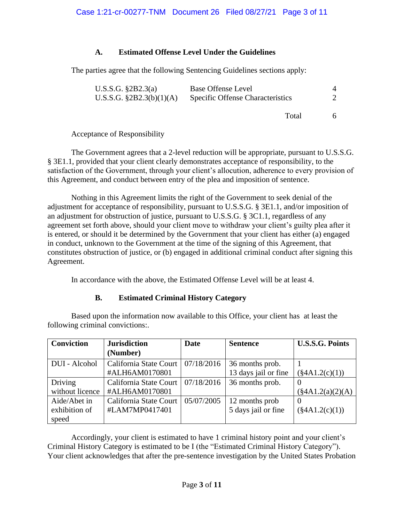## **A. Estimated Offense Level Under the Guidelines**

The parties agree that the following Sentencing Guidelines sections apply:

| U.S.S.G. $§2B2.3(a)$<br>U.S.S.G. $§2B2.3(b)(1)(A)$ | Base Offense Level<br><b>Specific Offense Characteristics</b> |    |
|----------------------------------------------------|---------------------------------------------------------------|----|
|                                                    | Total                                                         | h. |

Acceptance of Responsibility

The Government agrees that a 2-level reduction will be appropriate, pursuant to U.S.S.G. § 3E1.1, provided that your client clearly demonstrates acceptance of responsibility, to the satisfaction of the Government, through your client's allocution, adherence to every provision of this Agreement, and conduct between entry of the plea and imposition of sentence.

Nothing in this Agreement limits the right of the Government to seek denial of the adjustment for acceptance of responsibility, pursuant to U.S.S.G. § 3E1.1, and/or imposition of an adjustment for obstruction of justice, pursuant to U.S.S.G. § 3C1.1, regardless of any agreement set forth above, should your client move to withdraw your client's guilty plea after it is entered, or should it be determined by the Government that your client has either (a) engaged in conduct, unknown to the Government at the time of the signing of this Agreement, that constitutes obstruction of justice, or (b) engaged in additional criminal conduct after signing this Agreement.

In accordance with the above, the Estimated Offense Level will be at least 4.

# **B. Estimated Criminal History Category**

Based upon the information now available to this Office, your client has at least the following criminal convictions:.

| <b>Conviction</b> | <b>Jurisdiction</b>    | Date       | <b>Sentence</b>      | <b>U.S.S.G. Points</b> |
|-------------------|------------------------|------------|----------------------|------------------------|
|                   | (Number)               |            |                      |                        |
| DUI - Alcohol     | California State Court | 07/18/2016 | 36 months prob.      |                        |
|                   | #ALH6AM0170801         |            | 13 days jail or fine | $(\$4A1.2(c)(1))$      |
| Driving           | California State Court | 07/18/2016 | 36 months prob.      |                        |
| without licence   | #ALH6AM0170801         |            |                      | $(\S 4A1.2(a)(2)(A)$   |
| Aide/Abet in      | California State Court | 05/07/2005 | 12 months prob       |                        |
| exhibition of     | #LAM7MP0417401         |            | 5 days jail or fine  | $(\$4A1.2(c)(1))$      |
| speed             |                        |            |                      |                        |

Accordingly, your client is estimated to have 1 criminal history point and your client's Criminal History Category is estimated to be I (the "Estimated Criminal History Category"). Your client acknowledges that after the pre-sentence investigation by the United States Probation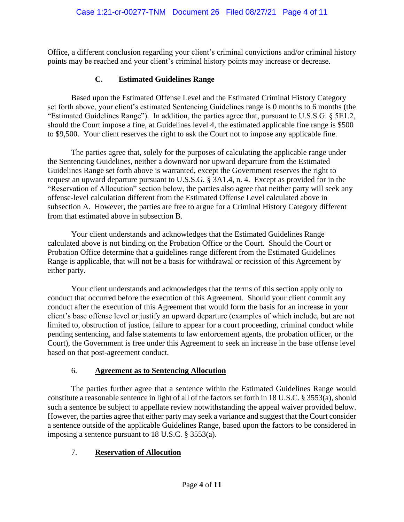Office, a different conclusion regarding your client's criminal convictions and/or criminal history points may be reached and your client's criminal history points may increase or decrease.

## **C. Estimated Guidelines Range**

Based upon the Estimated Offense Level and the Estimated Criminal History Category set forth above, your client's estimated Sentencing Guidelines range is 0 months to 6 months (the "Estimated Guidelines Range"). In addition, the parties agree that, pursuant to U.S.S.G. § 5E1.2, should the Court impose a fine, at Guidelines level 4, the estimated applicable fine range is \$500 to \$9,500. Your client reserves the right to ask the Court not to impose any applicable fine.

The parties agree that, solely for the purposes of calculating the applicable range under the Sentencing Guidelines, neither a downward nor upward departure from the Estimated Guidelines Range set forth above is warranted, except the Government reserves the right to request an upward departure pursuant to U.S.S.G. § 3A1.4, n. 4. Except as provided for in the "Reservation of Allocution" section below, the parties also agree that neither party will seek any offense-level calculation different from the Estimated Offense Level calculated above in subsection A. However, the parties are free to argue for a Criminal History Category different from that estimated above in subsection B.

Your client understands and acknowledges that the Estimated Guidelines Range calculated above is not binding on the Probation Office or the Court. Should the Court or Probation Office determine that a guidelines range different from the Estimated Guidelines Range is applicable, that will not be a basis for withdrawal or recission of this Agreement by either party.

Your client understands and acknowledges that the terms of this section apply only to conduct that occurred before the execution of this Agreement. Should your client commit any conduct after the execution of this Agreement that would form the basis for an increase in your client's base offense level or justify an upward departure (examples of which include, but are not limited to, obstruction of justice, failure to appear for a court proceeding, criminal conduct while pending sentencing, and false statements to law enforcement agents, the probation officer, or the Court), the Government is free under this Agreement to seek an increase in the base offense level based on that post-agreement conduct.

### 6. **Agreement as to Sentencing Allocution**

The parties further agree that a sentence within the Estimated Guidelines Range would constitute a reasonable sentence in light of all of the factors set forth in 18 U.S.C. § 3553(a), should such a sentence be subject to appellate review notwithstanding the appeal waiver provided below. However, the parties agree that either party may seek a variance and suggest that the Court consider a sentence outside of the applicable Guidelines Range, based upon the factors to be considered in imposing a sentence pursuant to 18 U.S.C. § 3553(a).

# 7. **Reservation of Allocution**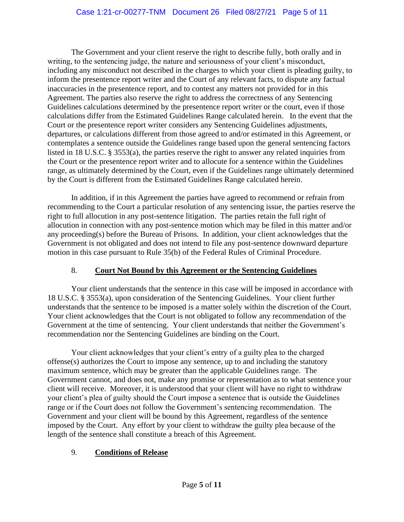#### Case 1:21-cr-00277-TNM Document 26 Filed 08/27/21 Page 5 of 11

The Government and your client reserve the right to describe fully, both orally and in writing, to the sentencing judge, the nature and seriousness of your client's misconduct, including any misconduct not described in the charges to which your client is pleading guilty, to inform the presentence report writer and the Court of any relevant facts, to dispute any factual inaccuracies in the presentence report, and to contest any matters not provided for in this Agreement. The parties also reserve the right to address the correctness of any Sentencing Guidelines calculations determined by the presentence report writer or the court, even if those calculations differ from the Estimated Guidelines Range calculated herein. In the event that the Court or the presentence report writer considers any Sentencing Guidelines adjustments, departures, or calculations different from those agreed to and/or estimated in this Agreement, or contemplates a sentence outside the Guidelines range based upon the general sentencing factors listed in 18 U.S.C. § 3553(a), the parties reserve the right to answer any related inquiries from the Court or the presentence report writer and to allocute for a sentence within the Guidelines range, as ultimately determined by the Court, even if the Guidelines range ultimately determined by the Court is different from the Estimated Guidelines Range calculated herein.

In addition, if in this Agreement the parties have agreed to recommend or refrain from recommending to the Court a particular resolution of any sentencing issue, the parties reserve the right to full allocution in any post-sentence litigation. The parties retain the full right of allocution in connection with any post-sentence motion which may be filed in this matter and/or any proceeding(s) before the Bureau of Prisons. In addition, your client acknowledges that the Government is not obligated and does not intend to file any post-sentence downward departure motion in this case pursuant to Rule 35(b) of the Federal Rules of Criminal Procedure.

### 8. **Court Not Bound by this Agreement or the Sentencing Guidelines**

Your client understands that the sentence in this case will be imposed in accordance with 18 U.S.C. § 3553(a), upon consideration of the Sentencing Guidelines. Your client further understands that the sentence to be imposed is a matter solely within the discretion of the Court. Your client acknowledges that the Court is not obligated to follow any recommendation of the Government at the time of sentencing. Your client understands that neither the Government's recommendation nor the Sentencing Guidelines are binding on the Court.

Your client acknowledges that your client's entry of a guilty plea to the charged offense(s) authorizes the Court to impose any sentence, up to and including the statutory maximum sentence, which may be greater than the applicable Guidelines range. The Government cannot, and does not, make any promise or representation as to what sentence your client will receive. Moreover, it is understood that your client will have no right to withdraw your client's plea of guilty should the Court impose a sentence that is outside the Guidelines range or if the Court does not follow the Government's sentencing recommendation. The Government and your client will be bound by this Agreement, regardless of the sentence imposed by the Court. Any effort by your client to withdraw the guilty plea because of the length of the sentence shall constitute a breach of this Agreement.

### 9. **Conditions of Release**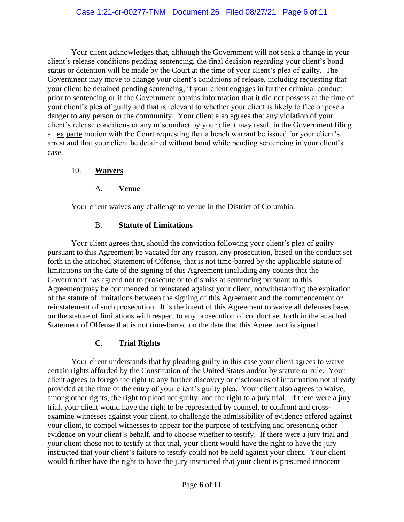Your client acknowledges that, although the Government will not seek a change in your client's release conditions pending sentencing, the final decision regarding your client's bond status or detention will be made by the Court at the time of your client's plea of guilty. The Government may move to change your client's conditions of release, including requesting that your client be detained pending sentencing, if your client engages in further criminal conduct prior to sentencing or if the Government obtains information that it did not possess at the time of your client's plea of guilty and that is relevant to whether your client is likely to flee or pose a danger to any person or the community. Your client also agrees that any violation of your client's release conditions or any misconduct by your client may result in the Government filing an ex parte motion with the Court requesting that a bench warrant be issued for your client's arrest and that your client be detained without bond while pending sentencing in your client's case.

### 10. **Waivers**

### A. **Venue**

Your client waives any challenge to venue in the District of Columbia.

#### B. **Statute of Limitations**

Your client agrees that, should the conviction following your client's plea of guilty pursuant to this Agreement be vacated for any reason, any prosecution, based on the conduct set forth in the attached Statement of Offense, that is not time-barred by the applicable statute of limitations on the date of the signing of this Agreement (including any counts that the Government has agreed not to prosecute or to dismiss at sentencing pursuant to this Agreement)may be commenced or reinstated against your client, notwithstanding the expiration of the statute of limitations between the signing of this Agreement and the commencement or reinstatement of such prosecution. It is the intent of this Agreement to waive all defenses based on the statute of limitations with respect to any prosecution of conduct set forth in the attached Statement of Offense that is not time-barred on the date that this Agreement is signed.

### **C**. **Trial Rights**

Your client understands that by pleading guilty in this case your client agrees to waive certain rights afforded by the Constitution of the United States and/or by statute or rule. Your client agrees to forego the right to any further discovery or disclosures of information not already provided at the time of the entry of your client's guilty plea. Your client also agrees to waive, among other rights, the right to plead not guilty, and the right to a jury trial. If there were a jury trial, your client would have the right to be represented by counsel, to confront and crossexamine witnesses against your client, to challenge the admissibility of evidence offered against your client, to compel witnesses to appear for the purpose of testifying and presenting other evidence on your client's behalf, and to choose whether to testify. If there were a jury trial and your client chose not to testify at that trial, your client would have the right to have the jury instructed that your client's failure to testify could not be held against your client. Your client would further have the right to have the jury instructed that your client is presumed innocent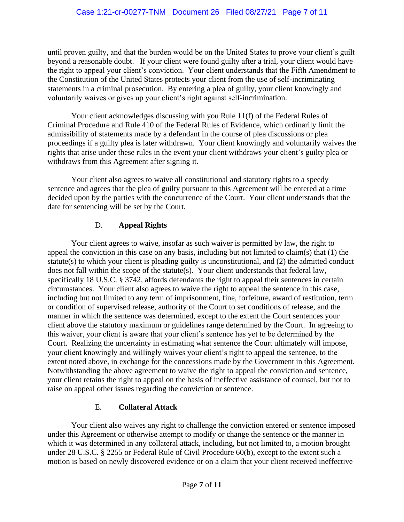until proven guilty, and that the burden would be on the United States to prove your client's guilt beyond a reasonable doubt. If your client were found guilty after a trial, your client would have the right to appeal your client's conviction. Your client understands that the Fifth Amendment to the Constitution of the United States protects your client from the use of self-incriminating statements in a criminal prosecution. By entering a plea of guilty, your client knowingly and voluntarily waives or gives up your client's right against self-incrimination.

Your client acknowledges discussing with you Rule 11(f) of the Federal Rules of Criminal Procedure and Rule 410 of the Federal Rules of Evidence, which ordinarily limit the admissibility of statements made by a defendant in the course of plea discussions or plea proceedings if a guilty plea is later withdrawn. Your client knowingly and voluntarily waives the rights that arise under these rules in the event your client withdraws your client's guilty plea or withdraws from this Agreement after signing it.

Your client also agrees to waive all constitutional and statutory rights to a speedy sentence and agrees that the plea of guilty pursuant to this Agreement will be entered at a time decided upon by the parties with the concurrence of the Court. Your client understands that the date for sentencing will be set by the Court.

## D. **Appeal Rights**

Your client agrees to waive, insofar as such waiver is permitted by law, the right to appeal the conviction in this case on any basis, including but not limited to claim(s) that (1) the statute(s) to which your client is pleading guilty is unconstitutional, and (2) the admitted conduct does not fall within the scope of the statute(s). Your client understands that federal law, specifically 18 U.S.C. § 3742, affords defendants the right to appeal their sentences in certain circumstances. Your client also agrees to waive the right to appeal the sentence in this case, including but not limited to any term of imprisonment, fine, forfeiture, award of restitution, term or condition of supervised release, authority of the Court to set conditions of release, and the manner in which the sentence was determined, except to the extent the Court sentences your client above the statutory maximum or guidelines range determined by the Court. In agreeing to this waiver, your client is aware that your client's sentence has yet to be determined by the Court. Realizing the uncertainty in estimating what sentence the Court ultimately will impose, your client knowingly and willingly waives your client's right to appeal the sentence, to the extent noted above, in exchange for the concessions made by the Government in this Agreement. Notwithstanding the above agreement to waive the right to appeal the conviction and sentence, your client retains the right to appeal on the basis of ineffective assistance of counsel, but not to raise on appeal other issues regarding the conviction or sentence.

# E. **Collateral Attack**

Your client also waives any right to challenge the conviction entered or sentence imposed under this Agreement or otherwise attempt to modify or change the sentence or the manner in which it was determined in any collateral attack, including, but not limited to, a motion brought under 28 U.S.C. § 2255 or Federal Rule of Civil Procedure 60(b), except to the extent such a motion is based on newly discovered evidence or on a claim that your client received ineffective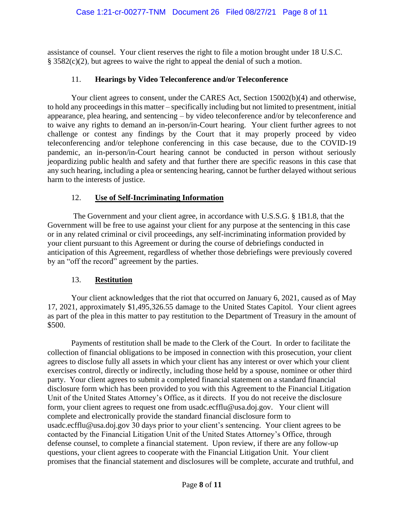assistance of counsel. Your client reserves the right to file a motion brought under 18 U.S.C. § 3582(c)(2), but agrees to waive the right to appeal the denial of such a motion.

#### 11. **Hearings by Video Teleconference and/or Teleconference**

Your client agrees to consent, under the CARES Act, Section 15002(b)(4) and otherwise, to hold any proceedings in this matter – specifically including but not limited to presentment, initial appearance, plea hearing, and sentencing – by video teleconference and/or by teleconference and to waive any rights to demand an in-person/in-Court hearing. Your client further agrees to not challenge or contest any findings by the Court that it may properly proceed by video teleconferencing and/or telephone conferencing in this case because, due to the COVID-19 pandemic, an in-person/in-Court hearing cannot be conducted in person without seriously jeopardizing public health and safety and that further there are specific reasons in this case that any such hearing, including a plea or sentencing hearing, cannot be further delayed without serious harm to the interests of justice.

### 12. **Use of Self-Incriminating Information**

The Government and your client agree, in accordance with U.S.S.G. § 1B1.8, that the Government will be free to use against your client for any purpose at the sentencing in this case or in any related criminal or civil proceedings, any self-incriminating information provided by your client pursuant to this Agreement or during the course of debriefings conducted in anticipation of this Agreement, regardless of whether those debriefings were previously covered by an "off the record" agreement by the parties.

### 13. **Restitution**

Your client acknowledges that the riot that occurred on January 6, 2021, caused as of May 17, 2021, approximately \$1,495,326.55 damage to the United States Capitol. Your client agrees as part of the plea in this matter to pay restitution to the Department of Treasury in the amount of \$500.

Payments of restitution shall be made to the Clerk of the Court. In order to facilitate the collection of financial obligations to be imposed in connection with this prosecution, your client agrees to disclose fully all assets in which your client has any interest or over which your client exercises control, directly or indirectly, including those held by a spouse, nominee or other third party. Your client agrees to submit a completed financial statement on a standard financial disclosure form which has been provided to you with this Agreement to the Financial Litigation Unit of the United States Attorney's Office, as it directs. If you do not receive the disclosure form, your client agrees to request one from usadc.ecfflu@usa.doj.gov. Your client will complete and electronically provide the standard financial disclosure form to usadc.ecfflu@usa.doj.gov 30 days prior to your client's sentencing. Your client agrees to be contacted by the Financial Litigation Unit of the United States Attorney's Office, through defense counsel, to complete a financial statement. Upon review, if there are any follow-up questions, your client agrees to cooperate with the Financial Litigation Unit. Your client promises that the financial statement and disclosures will be complete, accurate and truthful, and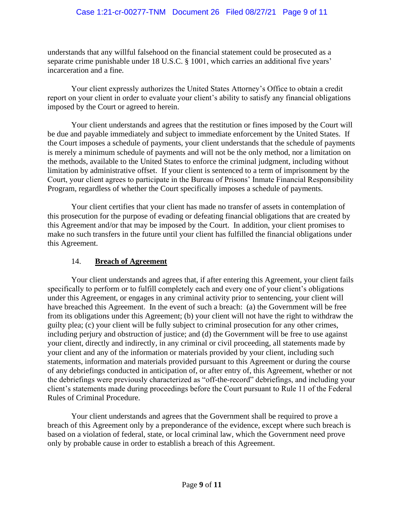understands that any willful falsehood on the financial statement could be prosecuted as a separate crime punishable under 18 U.S.C. § 1001, which carries an additional five years' incarceration and a fine.

Your client expressly authorizes the United States Attorney's Office to obtain a credit report on your client in order to evaluate your client's ability to satisfy any financial obligations imposed by the Court or agreed to herein.

Your client understands and agrees that the restitution or fines imposed by the Court will be due and payable immediately and subject to immediate enforcement by the United States. If the Court imposes a schedule of payments, your client understands that the schedule of payments is merely a minimum schedule of payments and will not be the only method, nor a limitation on the methods, available to the United States to enforce the criminal judgment, including without limitation by administrative offset. If your client is sentenced to a term of imprisonment by the Court, your client agrees to participate in the Bureau of Prisons' Inmate Financial Responsibility Program, regardless of whether the Court specifically imposes a schedule of payments.

Your client certifies that your client has made no transfer of assets in contemplation of this prosecution for the purpose of evading or defeating financial obligations that are created by this Agreement and/or that may be imposed by the Court. In addition, your client promises to make no such transfers in the future until your client has fulfilled the financial obligations under this Agreement.

## 14. **Breach of Agreement**

Your client understands and agrees that, if after entering this Agreement, your client fails specifically to perform or to fulfill completely each and every one of your client's obligations under this Agreement, or engages in any criminal activity prior to sentencing, your client will have breached this Agreement. In the event of such a breach: (a) the Government will be free from its obligations under this Agreement; (b) your client will not have the right to withdraw the guilty plea; (c) your client will be fully subject to criminal prosecution for any other crimes, including perjury and obstruction of justice; and (d) the Government will be free to use against your client, directly and indirectly, in any criminal or civil proceeding, all statements made by your client and any of the information or materials provided by your client, including such statements, information and materials provided pursuant to this Agreement or during the course of any debriefings conducted in anticipation of, or after entry of, this Agreement, whether or not the debriefings were previously characterized as "off-the-record" debriefings, and including your client's statements made during proceedings before the Court pursuant to Rule 11 of the Federal Rules of Criminal Procedure.

Your client understands and agrees that the Government shall be required to prove a breach of this Agreement only by a preponderance of the evidence, except where such breach is based on a violation of federal, state, or local criminal law, which the Government need prove only by probable cause in order to establish a breach of this Agreement.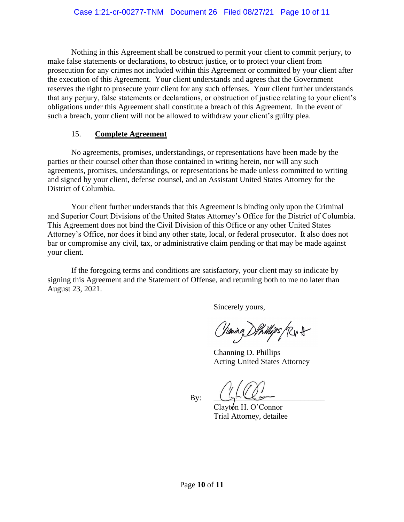Nothing in this Agreement shall be construed to permit your client to commit perjury, to make false statements or declarations, to obstruct justice, or to protect your client from prosecution for any crimes not included within this Agreement or committed by your client after the execution of this Agreement. Your client understands and agrees that the Government reserves the right to prosecute your client for any such offenses. Your client further understands that any perjury, false statements or declarations, or obstruction of justice relating to your client's obligations under this Agreement shall constitute a breach of this Agreement. In the event of such a breach, your client will not be allowed to withdraw your client's guilty plea.

#### 15. **Complete Agreement**

No agreements, promises, understandings, or representations have been made by the parties or their counsel other than those contained in writing herein, nor will any such agreements, promises, understandings, or representations be made unless committed to writing and signed by your client, defense counsel, and an Assistant United States Attorney for the District of Columbia.

Your client further understands that this Agreement is binding only upon the Criminal and Superior Court Divisions of the United States Attorney's Office for the District of Columbia. This Agreement does not bind the Civil Division of this Office or any other United States Attorney's Office, nor does it bind any other state, local, or federal prosecutor. It also does not bar or compromise any civil, tax, or administrative claim pending or that may be made against your client.

If the foregoing terms and conditions are satisfactory, your client may so indicate by signing this Agreement and the Statement of Offense, and returning both to me no later than August 23, 2021.

Sincerely yours,

Chaning DPhillips Rut  $\cup$   $\cup$   $\cup$ 

Channing D. Phillips Acting United States Attorney

By:  $\bigcup_{\gamma} \vdash \bigcup_{\alpha \in \mathcal{P}}$ 

 $Clavt$ *b*n H. O'Connor Trial Attorney, detailee